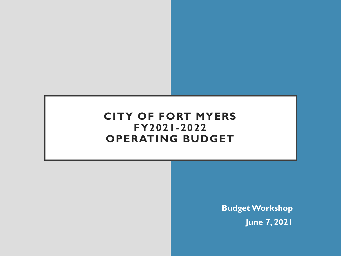#### **CITY OF FORT MYERS FY2021-2022 OPERATING BUDGET**

**Budget Workshop June 7, 2021**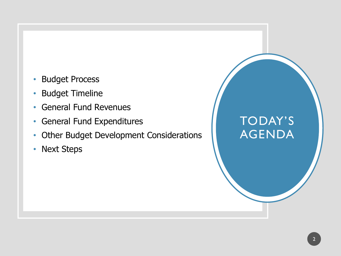- Budget Process
- Budget Timeline
- General Fund Revenues
- General Fund Expenditures
- Other Budget Development Considerations
- Next Steps

# TODAY'S AGENDA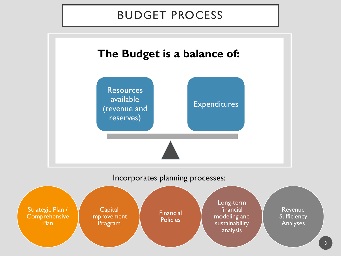#### BUDGET PROCESS

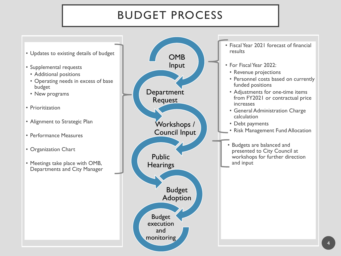## BUDGET PROCESS

- Updates to existing details of budget
- Supplemental requests
	- Additional positions
	- Operating needs in excess of base budget
	- New programs
- Prioritization
- Alignment to Strategic Plan
- Performance Measures
- Organization Chart
- Meetings take place with OMB, Departments and City Manager

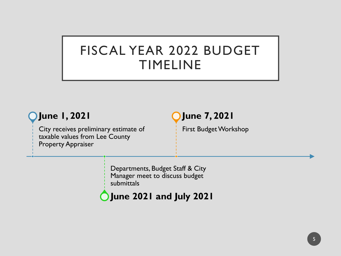# FISCAL YEAR 2022 BUDGET TIMELINE

#### **June 1, 2021**

City receives preliminary estimate of taxable values from Lee County Property Appraiser

#### **June 7, 2021**

First Budget Workshop

Departments, Budget Staff & City Manager meet to discuss budget submittals

#### **June 2021 and July 2021**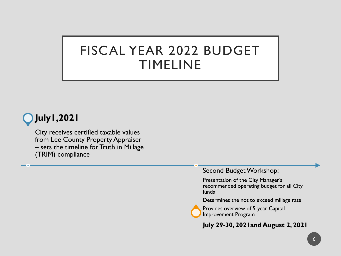# FISCAL YEAR 2022 BUDGET TIMELINE

#### **July1,2021**

City receives certified taxable values from Lee County Property Appraiser – sets the timeline for Truth in Millage (TRIM) compliance

Second Budget Workshop:

Presentation of the City Manager's recommended operating budget for all City funds

Determines the not to exceed millage rate

Provides overview of 5-year Capital Improvement Program

**July 29-30, 2021and August 2, 2021**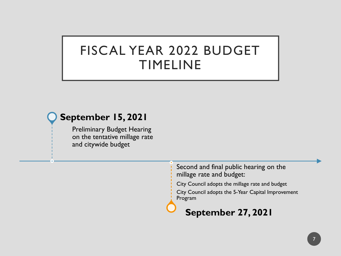# FISCAL YEAR 2022 BUDGET TIMELINE

#### **September 15, 2021**

Preliminary Budget Hearing on the tentative millage rate and citywide budget

> Second and final public hearing on the millage rate and budget:

> City Council adopts the millage rate and budget

City Council adopts the 5-Year Capital Improvement Program

**September 27, 2021**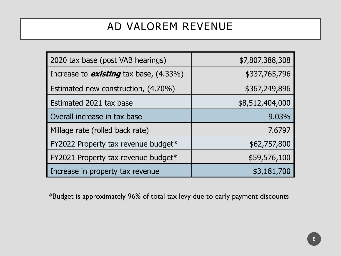## AD VALOREM REVENUE

| 2020 tax base (post VAB hearings)             | \$7,807,388,308 |
|-----------------------------------------------|-----------------|
| Increase to <b>existing</b> tax base, (4.33%) | \$337,765,796   |
| Estimated new construction, (4.70%)           | \$367,249,896   |
| Estimated 2021 tax base                       | \$8,512,404,000 |
| Overall increase in tax base                  | 9.03%           |
| Millage rate (rolled back rate)               | 7.6797          |
| FY2022 Property tax revenue budget*           | \$62,757,800    |
| FY2021 Property tax revenue budget*           | \$59,576,100    |
| Increase in property tax revenue              | \$3,181,700     |

\*Budget is approximately 96% of total tax levy due to early payment discounts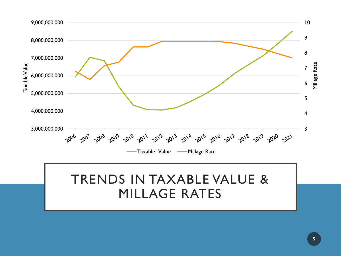

## TRENDS IN TAXABLE VALUE & MILLAGE RATES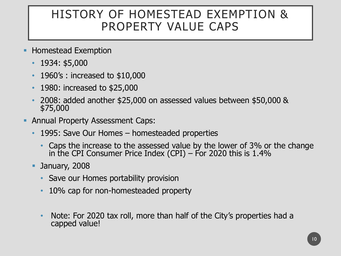## HISTORY OF HOMESTEAD EXEMPTION & PROPERTY VALUE CAPS

- **EXEMPLE Homestead Exemption** 
	- 1934: \$5,000
	- 1960's : increased to \$10,000
	- 1980: increased to \$25,000
	- 2008: added another \$25,000 on assessed values between \$50,000 & \$75,000
- **Annual Property Assessment Caps:** 
	- 1995: Save Our Homes homesteaded properties
		- Caps the increase to the assessed value by the lower of 3% or the change in the CPI Consumer Price Index (CPI) – For 2020 this is 1.4%
	- **D** January, 2008
		- Save our Homes portability provision
		- 10% cap for non-homesteaded property
		- Note: For 2020 tax roll, more than half of the City's properties had a capped value!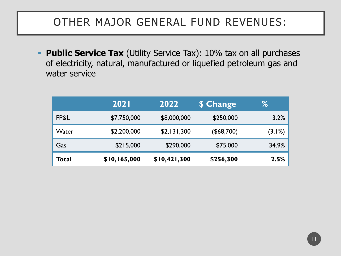**Public Service Tax** (Utility Service Tax): 10% tax on all purchases of electricity, natural, manufactured or liquefied petroleum gas and water service

|              | <b>2021</b>  | 2022         | \$ Change  | ℅      |
|--------------|--------------|--------------|------------|--------|
| FP&L         | \$7,750,000  | \$8,000,000  | \$250,000  | 3.2%   |
| Water        | \$2,200,000  | \$2,131,300  | (\$68,700) | (3.1%) |
| Gas          | \$215,000    | \$290,000    | \$75,000   | 34.9%  |
| <b>Total</b> | \$10,165,000 | \$10,421,300 | \$256,300  | 2.5%   |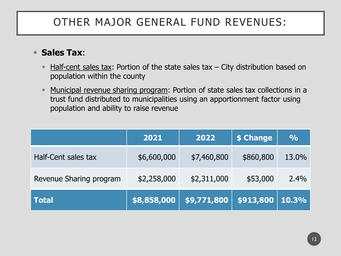#### ▪ **Sales Tax**:

- $\blacksquare$  Half-cent sales tax: Portion of the state sales tax  $\lnot$  City distribution based on population within the county
- **Municipal revenue sharing program: Portion of state sales tax collections in a** trust fund distributed to municipalities using an apportionment factor using population and ability to raise revenue

|                         | 2021        | 2022        | \$ Change | $\frac{O}{O}$ |
|-------------------------|-------------|-------------|-----------|---------------|
| Half-Cent sales tax     | \$6,600,000 | \$7,460,800 | \$860,800 | 13.0%         |
| Revenue Sharing program | \$2,258,000 | \$2,311,000 | \$53,000  | $2.4\%$       |
| <b>Total</b>            | \$8,858,000 | \$9,771,800 | \$913,800 | 10.3%         |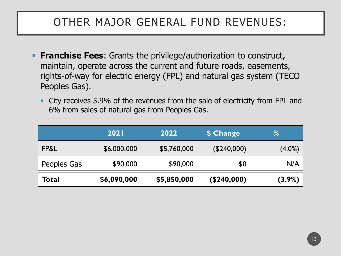- **Franchise Fees:** Grants the privilege/authorization to construct, maintain, operate across the current and future roads, easements, rights-of-way for electric energy (FPL) and natural gas system (TECO Peoples Gas).
	- City receives 5.9% of the revenues from the sale of electricity from FPL and 6% from sales of natural gas from Peoples Gas.

|              | 2021        | 2022        | \$ Change   | %         |
|--------------|-------------|-------------|-------------|-----------|
| FP&L         | \$6,000,000 | \$5,760,000 | (\$240,000) | $(4.0\%)$ |
| Peoples Gas  | \$90,000    | \$90,000    | \$0         | N/A       |
| <b>Total</b> | \$6,090,000 | \$5,850,000 | (\$240,000) | $(3.9\%)$ |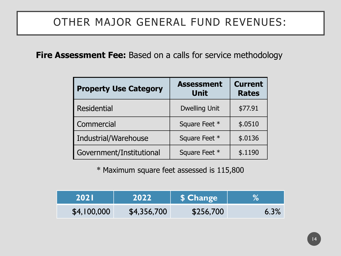**Fire Assessment Fee:** Based on a calls for service methodology

| <b>Property Use Category</b> | <b>Assessment</b><br><b>Unit</b> | <b>Current</b><br><b>Rates</b> |
|------------------------------|----------------------------------|--------------------------------|
| <b>Residential</b>           | <b>Dwelling Unit</b>             | \$77.91                        |
| Commercial                   | Square Feet *                    | \$.0510                        |
| Industrial/Warehouse         | Square Feet *                    | \$.0136                        |
| Government/Institutional     | Square Feet *                    | \$.1190                        |

\* Maximum square feet assessed is 115,800

| <b>2021</b> | 2022        | \$ Change |      |
|-------------|-------------|-----------|------|
| \$4,100,000 | \$4,356,700 | \$256,700 | 6.3% |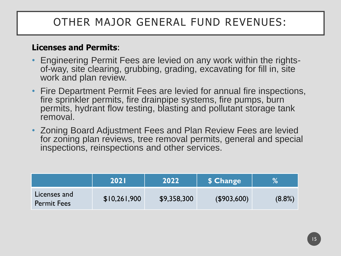#### **Licenses and Permits**:

- Engineering Permit Fees are levied on any work within the rightsof-way, site clearing, grubbing, grading, excavating for fill in, site work and plan review.
- Fire Department Permit Fees are levied for annual fire inspections, fire sprinkler permits, fire drainpipe systems, fire pumps, burn permits, hydrant flow testing, blasting and pollutant storage tank removal.
- Zoning Board Adjustment Fees and Plan Review Fees are levied for zoning plan reviews, tree removal permits, general and special inspections, reinspections and other services.

|                                    | <b>2021</b>  | 2022        | \$ Change      | %         |
|------------------------------------|--------------|-------------|----------------|-----------|
| Licenses and<br><b>Permit Fees</b> | \$10,261,900 | \$9,358,300 | $($ \$903,600) | $(8.8\%)$ |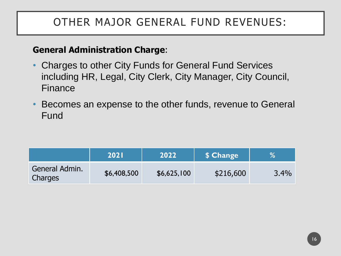#### **General Administration Charge**:

- Charges to other City Funds for General Fund Services including HR, Legal, City Clerk, City Manager, City Council, Finance
- Becomes an expense to the other funds, revenue to General Fund

|                           | <b>2021</b> | 2022        | \$ Change | %    |
|---------------------------|-------------|-------------|-----------|------|
| General Admin.<br>Charges | \$6,408,500 | \$6,625,100 | \$216,600 | 3.4% |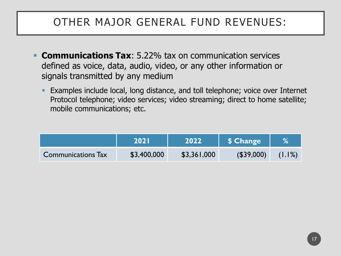- **Communications Tax:** 5.22% tax on communication services defined as voice, data, audio, video, or any other information or signals transmitted by any medium
	- **Examples include local, long distance, and toll telephone; voice over Internet** Protocol telephone; video services; video streaming; direct to home satellite; mobile communications; etc.

|                           | <b>2021</b> | 2022        | \$ Change  |        |
|---------------------------|-------------|-------------|------------|--------|
| <b>Communications Tax</b> | \$3,400,000 | \$3,361,000 | (\$39,000) | (1.1%) |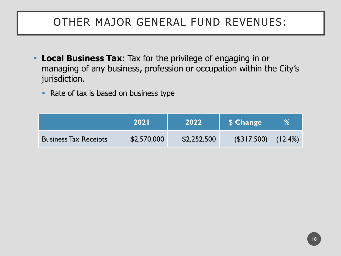- **Local Business Tax:** Tax for the privilege of engaging in or managing of any business, profession or occupation within the City's jurisdiction.
	- Rate of tax is based on business type

|                              | <b>2021</b> | 2022        | \$ Change      | %       |
|------------------------------|-------------|-------------|----------------|---------|
| <b>Business Tax Receipts</b> | \$2,570,000 | \$2,252,500 | $($ \$317,500) | (12.4%) |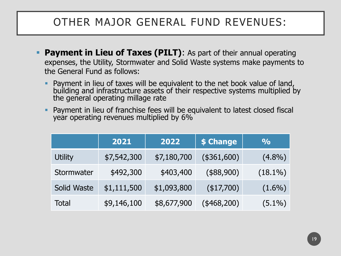- **Payment in Lieu of Taxes (PILT)**: As part of their annual operating expenses, the Utility, Stormwater and Solid Waste systems make payments to the General Fund as follows:
	- Payment in lieu of taxes will be equivalent to the net book value of land, building and infrastructure assets of their respective systems multiplied by the general operating millage rate
	- Payment in lieu of franchise fees will be equivalent to latest closed fiscal year operating revenues multiplied by 6%

|                | 2021        | 2022        | \$ Change    | $\frac{1}{2}$ |
|----------------|-------------|-------------|--------------|---------------|
| <b>Utility</b> | \$7,542,300 | \$7,180,700 | (\$361,600)  | $(4.8\%)$     |
| Stormwater     | \$492,300   | \$403,400   | (\$88,900)   | $(18.1\%)$    |
| Solid Waste    | \$1,111,500 | \$1,093,800 | $(*17,700)$  | $(1.6\%)$     |
| <b>Total</b>   | \$9,146,100 | \$8,677,900 | $(*468,200)$ | $(5.1\%)$     |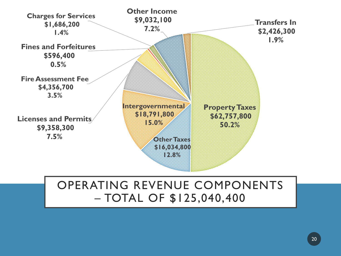

#### OPERATING REVENUE COMPONENTS – TOTAL OF \$125,040,400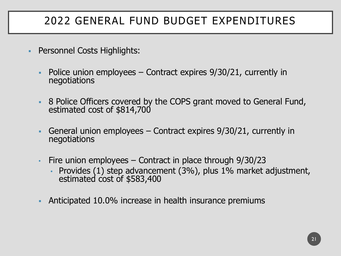## 2022 GENERAL FUND BUDGET EXPENDITURES

- Personnel Costs Highlights:
	- Police union employees Contract expires 9/30/21, currently in negotiations
	- **B** 8 Police Officers covered by the COPS grant moved to General Fund, estimated cost of \$814,700
	- **General union employees Contract expires**  $9/30/21$ **, currently in** negotiations
	- Fire union employees  $-$  Contract in place through  $9/30/23$ 
		- Provides (1) step advancement (3%), plus 1% market adjustment, estimated cost of \$583,400
	- Anticipated 10.0% increase in health insurance premiums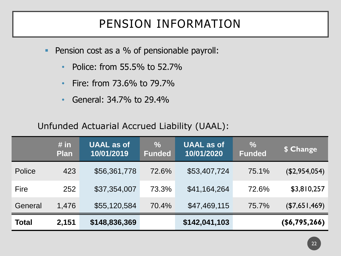# PENSION INFORMATION

- Pension cost as a % of pensionable payroll:
	- Police: from 55.5% to 52.7%
	- Fire: from 73.6% to 79.7%
	- General: 34.7% to 29.4%

#### Unfunded Actuarial Accrued Liability (UAAL):

|              | # in<br><b>Plan</b> | <b>UAAL as of</b><br>10/01/2019 | $\frac{0}{0}$<br><b>Funded</b> | <b>UAAL</b> as of<br>10/01/2020 | $\frac{0}{0}$<br>Funded | \$ Change            |
|--------------|---------------------|---------------------------------|--------------------------------|---------------------------------|-------------------------|----------------------|
| Police       | 423                 | \$56,361,778                    | 72.6%                          | \$53,407,724                    | 75.1%                   | (\$2,954,054)        |
| <b>Fire</b>  | 252                 | \$37,354,007                    | 73.3%                          | \$41,164,264                    | 72.6%                   | \$3,810,257          |
| General      | 1,476               | \$55,120,584                    | 70.4%                          | \$47,469,115                    | 75.7%                   | (\$7,651,469)        |
| <b>Total</b> | 2,151               | \$148,836,369                   |                                | \$142,041,103                   |                         | $($ \$6,795,266) $ $ |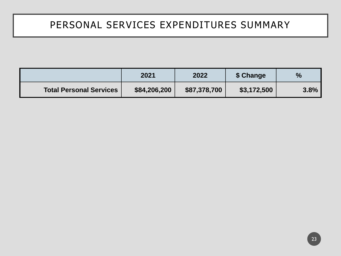#### PERSONAL SERVICES EXPENDITURES SUMMARY

|                                | 2021         | 2022         | \$ Change   | $\frac{9}{6}$ |
|--------------------------------|--------------|--------------|-------------|---------------|
| <b>Total Personal Services</b> | \$84,206,200 | \$87,378,700 | \$3,172,500 | 3.8%          |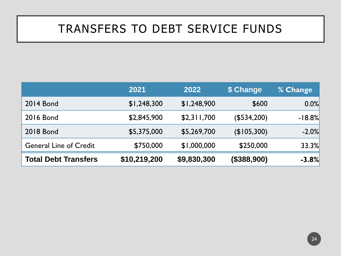# TRANSFERS TO DEBT SERVICE FUNDS

|                               | 2021         | 2022        | \$ Change   | <b>% Change</b> |
|-------------------------------|--------------|-------------|-------------|-----------------|
| <b>2014 Bond</b>              | \$1,248,300  | \$1,248,900 | \$600       | 0.0%            |
| <b>2016 Bond</b>              | \$2,845,900  | \$2,311,700 | (\$534,200) | $-18.8%$        |
| <b>2018 Bond</b>              | \$5,375,000  | \$5,269,700 | (\$105,300) | $-2.0%$         |
| <b>General Line of Credit</b> | \$750,000    | \$1,000,000 | \$250,000   | 33.3%           |
| <b>Total Debt Transfers</b>   | \$10,219,200 | \$9,830,300 | (\$388,900) | $-3.8%$         |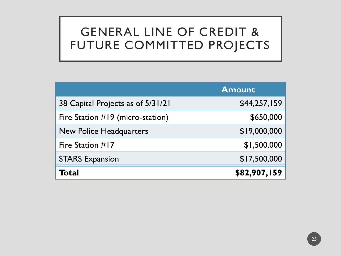# GENERAL LINE OF CREDIT & FUTURE COMMITTED PROJECTS

|                                   | <b>Amount</b> |
|-----------------------------------|---------------|
| 38 Capital Projects as of 5/31/21 | \$44,257,159  |
| Fire Station #19 (micro-station)  | \$650,000     |
| <b>New Police Headquarters</b>    | \$19,000,000  |
| Fire Station #17                  | \$1,500,000   |
| <b>STARS Expansion</b>            | \$17,500,000  |
| Total                             | \$82,907,159  |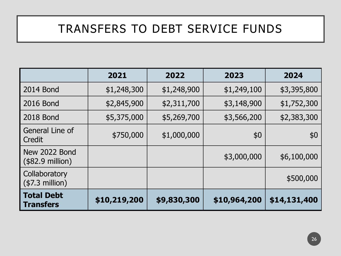# TRANSFERS TO DEBT SERVICE FUNDS

|                                            | 2021         | 2022        | 2023         | 2024         |
|--------------------------------------------|--------------|-------------|--------------|--------------|
| 2014 Bond                                  | \$1,248,300  | \$1,248,900 | \$1,249,100  | \$3,395,800  |
| 2016 Bond                                  | \$2,845,900  | \$2,311,700 | \$3,148,900  | \$1,752,300  |
| <b>2018 Bond</b>                           | \$5,375,000  | \$5,269,700 | \$3,566,200  | \$2,383,300  |
| General Line of<br>Credit                  | \$750,000    | \$1,000,000 | \$0          | \$0          |
| New 2022 Bond<br>$($82.9 \text{ million})$ |              |             | \$3,000,000  | \$6,100,000  |
| Collaboratory<br>$($7.3$ million)          |              |             |              | \$500,000    |
| <b>Total Debt</b><br><b>Transfers</b>      | \$10,219,200 | \$9,830,300 | \$10,964,200 | \$14,131,400 |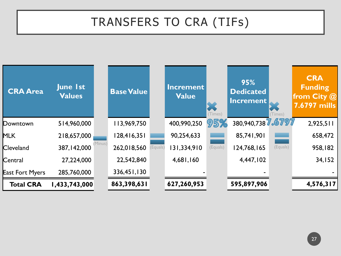# TRANSFERS TO CRA (TIFs)

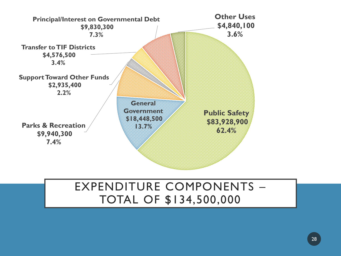

#### EXPENDITURE COMPONENTS – TOTAL OF \$134,500,000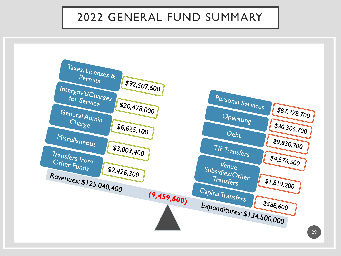#### 2022 GENERAL FUND SUMMARY

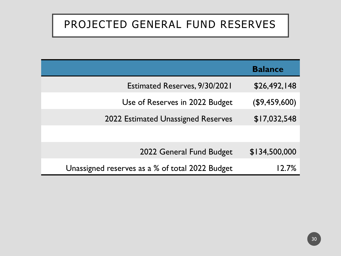## PROJECTED GENERAL FUND RESERVES

|                                                 | <b>Balance</b> |
|-------------------------------------------------|----------------|
| <b>Estimated Reserves, 9/30/2021</b>            | \$26,492,148   |
| Use of Reserves in 2022 Budget                  | (\$9,459,600)  |
| 2022 Estimated Unassigned Reserves              | \$17,032,548   |
|                                                 |                |
| 2022 General Fund Budget                        | \$134,500,000  |
| Unassigned reserves as a % of total 2022 Budget |                |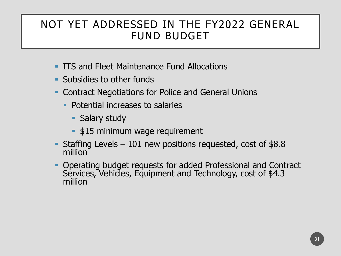#### NOT YET ADDRESSED IN THE FY2022 GENERAL FUND BUDGET

- **ITS and Fleet Maintenance Fund Allocations**
- Subsidies to other funds
- Contract Negotiations for Police and General Unions
	- **Potential increases to salaries** 
		- Salary study
		- **.** \$15 minimum wage requirement
- **EXECUTE:** Staffing Levels 101 new positions requested, cost of  $$8.8$ million
- Operating budget requests for added Professional and Contract Services, Vehicles, Equipment and Technology, cost of \$4.3 million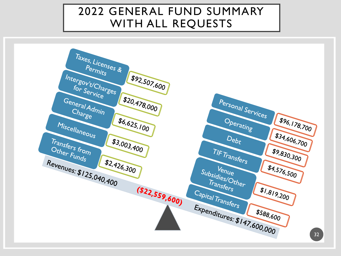#### 2022 GENERAL FUND SUMMARY WITH ALL REQUESTS

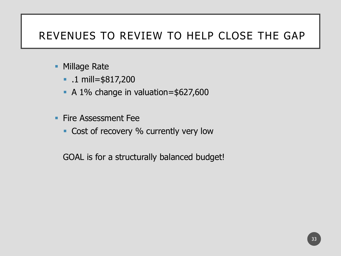#### REVENUES TO REVIEW TO HELP CLOSE THE GAP

- Millage Rate
	- .1 mill=\$817,200
	- A 1% change in valuation=\$627,600
- **Execute Assessment Fee** 
	- Cost of recovery % currently very low

GOAL is for a structurally balanced budget!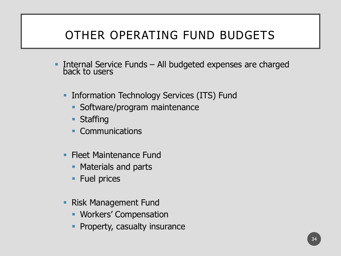- **.** Internal Service Funds All budgeted expenses are charged back to users
	- **Information Technology Services (ITS) Fund** 
		- **Software/program maintenance**
		- **Staffing**
		- **Communications**
	- **Fleet Maintenance Fund** 
		- Materials and parts
		- Fuel prices
	- **Risk Management Fund** 
		- **Workers' Compensation**
		- **Property, casualty insurance**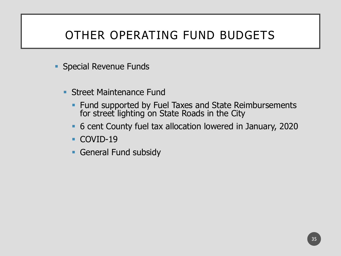- **Special Revenue Funds** 
	- **Street Maintenance Fund** 
		- **Fund supported by Fuel Taxes and State Reimbursements** for street lighting on State Roads in the City
		- 6 cent County fuel tax allocation lowered in January, 2020
		- COVID-19
		- **General Fund subsidy**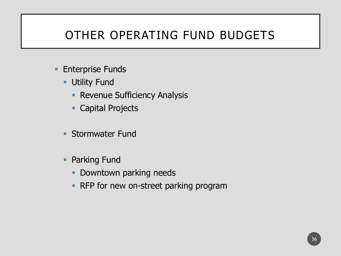- **Enterprise Funds** 
	- **Utility Fund** 
		- **Revenue Sufficiency Analysis**
		- Capital Projects
	- **Stormwater Fund**
	- Parking Fund
		- **Downtown parking needs**
		- **RFP for new on-street parking program**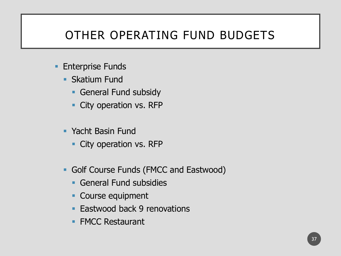- **Enterprise Funds** 
	- **Skatium Fund** 
		- **General Fund subsidy**
		- **City operation vs. RFP**
	- Yacht Basin Fund
		- **City operation vs. RFP**
	- **Golf Course Funds (FMCC and Eastwood)** 
		- **General Fund subsidies**
		- Course equipment
		- Eastwood back 9 renovations
		- FMCC Restaurant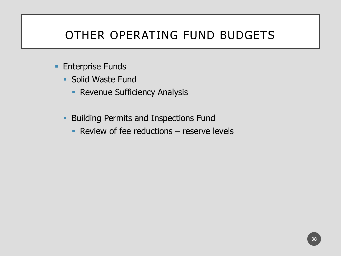- **Enterprise Funds** 
	- Solid Waste Fund
		- **Revenue Sufficiency Analysis**
	- **Building Permits and Inspections Fund** 
		- $\blacksquare$  Review of fee reductions  $\blacksquare$  reserve levels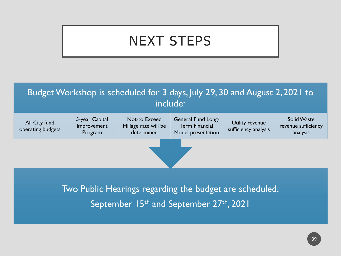# NEXT STEPS



Two Public Hearings regarding the budget are scheduled: September 15<sup>th</sup> and September 27<sup>th</sup>, 2021